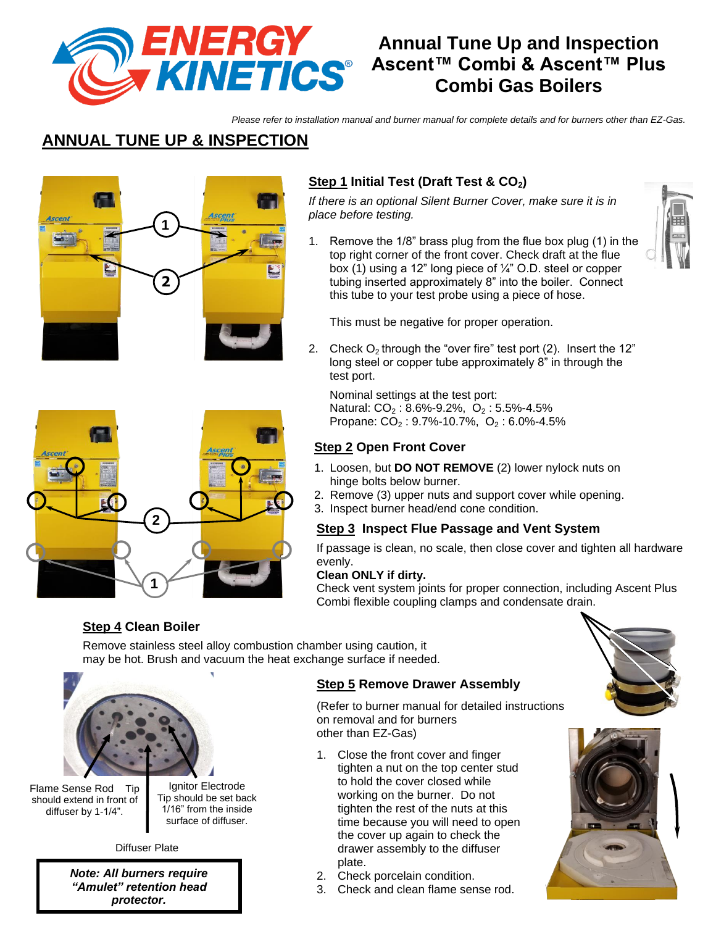

# **Annual Tune Up and Inspection Ascent™ Combi & Ascent™ Plus Combi Gas Boilers**

*Please refer to installation manual and burner manual for complete details and for burners other than EZ-Gas.*

# **ANNUAL TUNE UP & INSPECTION**



# **Step 1 Initial Test (Draft Test & CO<sub>2</sub>**)

*If there is an optional Silent Burner Cover, make sure it is in place before testing.*

1. Remove the 1/8" brass plug from the flue box plug (1) in the top right corner of the front cover. Check draft at the flue box (1) using a 12" long piece of ¼" O.D. steel or copper tubing inserted approximately 8" into the boiler. Connect this tube to your test probe using a piece of hose.

This must be negative for proper operation.

2. Check  $O_2$  through the "over fire" test port (2). Insert the 12" long steel or copper tube approximately 8" in through the test port.

Nominal settings at the test port: Natural:  $CO_2$ : 8.6%-9.2%,  $O_2$ : 5.5%-4.5% Propane:  $CO_2$ : 9.7%-10.7%,  $O_2$ : 6.0%-4.5%

# **Step 2 Open Front Cover**

- 1. Loosen, but **DO NOT REMOVE** (2) lower nylock nuts on hinge bolts below burner.
- 2. Remove (3) upper nuts and support cover while opening.
- 3. Inspect burner head/end cone condition.

#### **Step 3 Inspect Flue Passage and Vent System**

If passage is clean, no scale, then close cover and tighten all hardware evenly.

#### **Clean ONLY if dirty.**

Check vent system joints for proper connection, including Ascent Plus Combi flexible coupling clamps and condensate drain.

# **Step 4 Clean Boiler**

Remove stainless steel alloy combustion chamber using caution, it may be hot. Brush and vacuum the heat exchange surface if needed.



Flame Sense Rod Tip should extend in front of diffuser by 1-1/4".

Ignitor Electrode Tip should be set back 1/16" from the inside surface of diffuser.

Diffuser Plate

*Note: All burners require "Amulet" retention head protector.*

#### **Step 5 Remove Drawer Assembly**

(Refer to burner manual for detailed instructions on removal and for burners other than EZ-Gas)

- 1. Close the front cover and finger tighten a nut on the top center stud to hold the cover closed while working on the burner. Do not tighten the rest of the nuts at this time because you will need to open the cover up again to check the drawer assembly to the diffuser plate.
- 2. Check porcelain condition.
- 3. Check and clean flame sense rod.





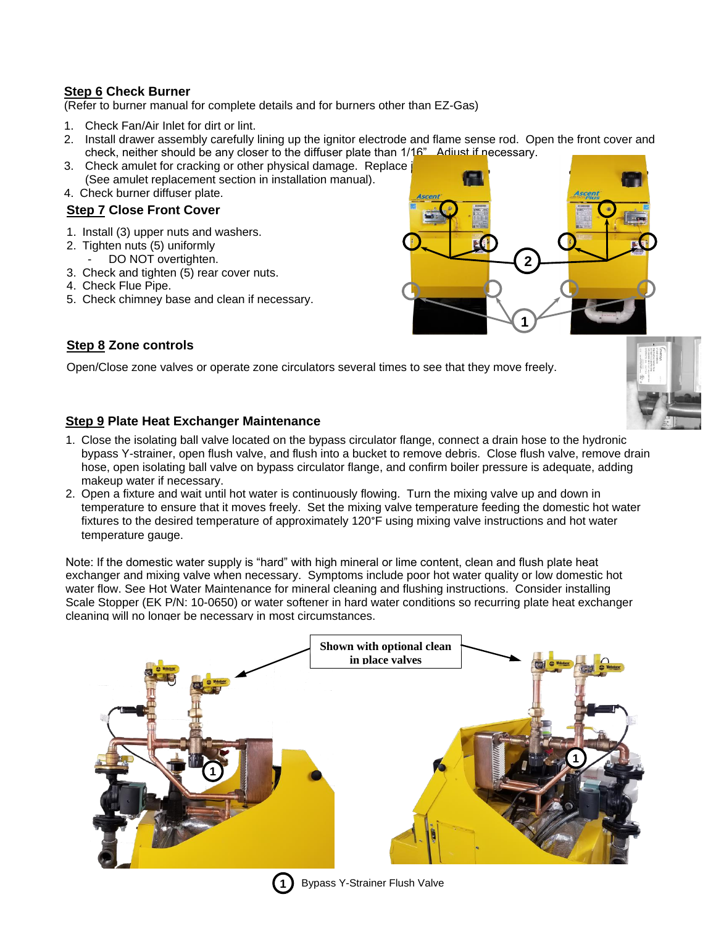## **Step 6 Check Burner**

(Refer to burner manual for complete details and for burners other than EZ-Gas)

- 1. Check Fan/Air Inlet for dirt or lint.
- 2. Install drawer assembly carefully lining up the ignitor electrode and flame sense rod. Open the front cover and check, neither should be any closer to the diffuser plate than 1/16". Adjust if necessary.
- 3. Check amulet for cracking or other physical damage. Replace in (See amulet replacement section in installation manual).

#### 4. Check burner diffuser plate. **Step 7 Close Front Cover**

- 1. Install (3) upper nuts and washers.
- 2. Tighten nuts (5) uniformly
- DO NOT overtighten. 3. Check and tighten (5) rear cover nuts.
- 4. Check Flue Pipe.
- 5. Check chimney base and clean if necessary.



## **Step 8 Zone controls**

Open/Close zone valves or operate zone circulators several times to see that they move freely.

## **Step 9 Plate Heat Exchanger Maintenance**

- 1. Close the isolating ball valve located on the bypass circulator flange, connect a drain hose to the hydronic bypass Y-strainer, open flush valve, and flush into a bucket to remove debris. Close flush valve, remove drain hose, open isolating ball valve on bypass circulator flange, and confirm boiler pressure is adequate, adding makeup water if necessary.
- 2. Open a fixture and wait until hot water is continuously flowing. Turn the mixing valve up and down in temperature to ensure that it moves freely. Set the mixing valve temperature feeding the domestic hot water fixtures to the desired temperature of approximately 120°F using mixing valve instructions and hot water temperature gauge.

Note: If the domestic water supply is "hard" with high mineral or lime content, clean and flush plate heat exchanger and mixing valve when necessary. Symptoms include poor hot water quality or low domestic hot water flow. See Hot Water Maintenance for mineral cleaning and flushing instructions. Consider installing Scale Stopper (EK P/N: 10-0650) or water softener in hard water conditions so recurring plate heat exchanger cleaning will no longer be necessary in most circumstances.





**1** Bypass Y-Strainer Flush Valve